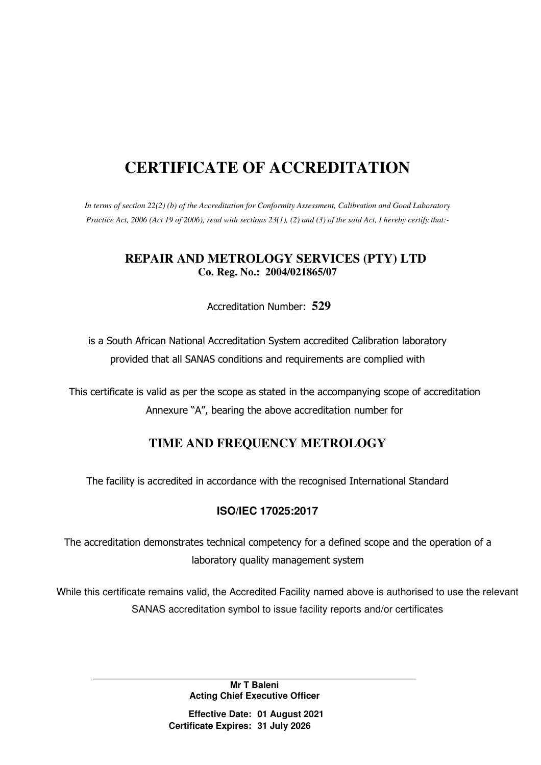# **CERTIFICATE OF ACCREDITATION**

*In terms of section 22(2) (b) of the Accreditation for Conformity Assessment, Calibration and Good Laboratory Practice Act, 2006 (Act 19 of 2006), read with sections 23(1), (2) and (3) of the said Act, I hereby certify that:-* 

#### **REPAIR AND METROLOGY SERVICES (PTY) LTD Co. Reg. No.: 2004/021865/07**

Accreditation Number: **529**

is a South African National Accreditation System accredited Calibration laboratory provided that all SANAS conditions and requirements are complied with

This certificate is valid as per the scope as stated in the accompanying scope of accreditation Annexure "A", bearing the above accreditation number for

# **TIME AND FREQUENCY METROLOGY**

The facility is accredited in accordance with the recognised International Standard

#### **ISO/IEC 17025:2017**

The accreditation demonstrates technical competency for a defined scope and the operation of a laboratory quality management system

While this certificate remains valid, the Accredited Facility named above is authorised to use the relevant SANAS accreditation symbol to issue facility reports and/or certificates

**\_\_\_\_\_\_\_\_\_\_\_\_\_\_\_\_\_\_\_\_\_\_\_\_\_\_\_\_\_\_\_\_\_\_\_\_\_\_\_\_\_\_\_\_\_\_\_\_\_\_\_\_\_\_\_\_\_\_\_\_\_\_\_\_\_\_\_\_\_\_\_ Mr T Baleni Acting Chief Executive Officer**

> **Effective Date: 01 August 2021 Certificate Expires: 31 July 2026**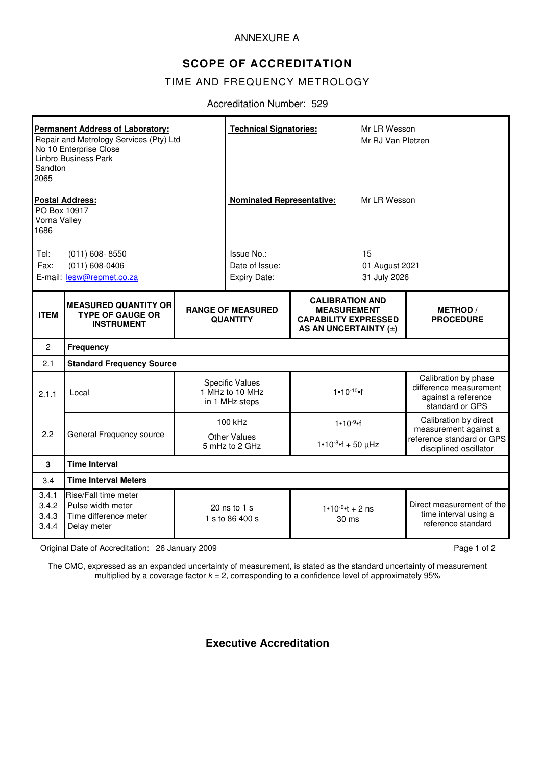#### ANNEXURE A

### **SCOPE OF ACCREDITATION**

#### TIME AND FREQUENCY METROLOGY

#### Accreditation Number: 529

| <b>Permanent Address of Laboratory:</b><br>Repair and Metrology Services (Pty) Ltd<br>No 10 Enterprise Close<br>Linbro Business Park<br>Sandton<br>2065 |                                                                                   |                                                             | <b>Technical Signatories:</b>                                                                                                                       |                                       | Mr LR Wesson<br>Mr RJ Van Pletzen    |                                                                                          |  |  |
|---------------------------------------------------------------------------------------------------------------------------------------------------------|-----------------------------------------------------------------------------------|-------------------------------------------------------------|-----------------------------------------------------------------------------------------------------------------------------------------------------|---------------------------------------|--------------------------------------|------------------------------------------------------------------------------------------|--|--|
| <b>Postal Address:</b><br>PO Box 10917<br>Vorna Valley<br>1686                                                                                          |                                                                                   |                                                             | <b>Nominated Representative:</b>                                                                                                                    |                                       | Mr LR Wesson                         |                                                                                          |  |  |
| Tel:<br>Fax:                                                                                                                                            | $(011) 608 - 8550$<br>$(011) 608 - 0406$<br>E-mail: lesw@repmet.co.za             |                                                             | Issue No.:<br>Date of Issue:<br>Expiry Date:                                                                                                        |                                       | 15<br>01 August 2021<br>31 July 2026 |                                                                                          |  |  |
| <b>ITEM</b>                                                                                                                                             | <b>MEASURED QUANTITY OR</b><br><b>TYPE OF GAUGE OR</b><br><b>INSTRUMENT</b>       |                                                             | <b>CALIBRATION AND</b><br><b>RANGE OF MEASURED</b><br><b>MEASUREMENT</b><br><b>CAPABILITY EXPRESSED</b><br><b>QUANTITY</b><br>AS AN UNCERTAINTY (±) |                                       |                                      | <b>METHOD /</b><br><b>PROCEDURE</b>                                                      |  |  |
| $\overline{2}$                                                                                                                                          | <b>Frequency</b>                                                                  |                                                             |                                                                                                                                                     |                                       |                                      |                                                                                          |  |  |
| 2.1                                                                                                                                                     | <b>Standard Frequency Source</b>                                                  |                                                             |                                                                                                                                                     |                                       |                                      |                                                                                          |  |  |
| 2.1.1                                                                                                                                                   | Local                                                                             | <b>Specific Values</b><br>1 MHz to 10 MHz<br>in 1 MHz steps |                                                                                                                                                     | $1 - 10^{-10}$                        |                                      | Calibration by phase<br>difference measurement<br>against a reference<br>standard or GPS |  |  |
|                                                                                                                                                         |                                                                                   | 100 kHz                                                     |                                                                                                                                                     | 1•10.9 of                             |                                      | Calibration by direct<br>measurement against a                                           |  |  |
| 2.2                                                                                                                                                     | General Frequency source                                                          | <b>Other Values</b><br>5 mHz to 2 GHz                       |                                                                                                                                                     | $1 \cdot 10^{-8} \cdot f + 50 \mu Hz$ |                                      | reference standard or GPS<br>disciplined oscillator                                      |  |  |
| 3                                                                                                                                                       | <b>Time Interval</b>                                                              |                                                             |                                                                                                                                                     |                                       |                                      |                                                                                          |  |  |
| 3.4                                                                                                                                                     | <b>Time Interval Meters</b>                                                       |                                                             |                                                                                                                                                     |                                       |                                      |                                                                                          |  |  |
| 3.4.1<br>3.4.2<br>3.4.3<br>3.4.4                                                                                                                        | Rise/Fall time meter<br>Pulse width meter<br>Time difference meter<br>Delay meter | 20 ns to 1 s<br>1 s to 86 400 s                             |                                                                                                                                                     | 1.10 $9$ ·t + 2 ns<br>30 ms           |                                      | Direct measurement of the<br>time interval using a<br>reference standard                 |  |  |

Original Date of Accreditation: 26 January 2009 **Page 1 of 2** Page 1 of 2

The CMC, expressed as an expanded uncertainty of measurement, is stated as the standard uncertainty of measurement multiplied by a coverage factor  $k = 2$ , corresponding to a confidence level of approximately  $95\%$ 

# **Executive Accreditation**